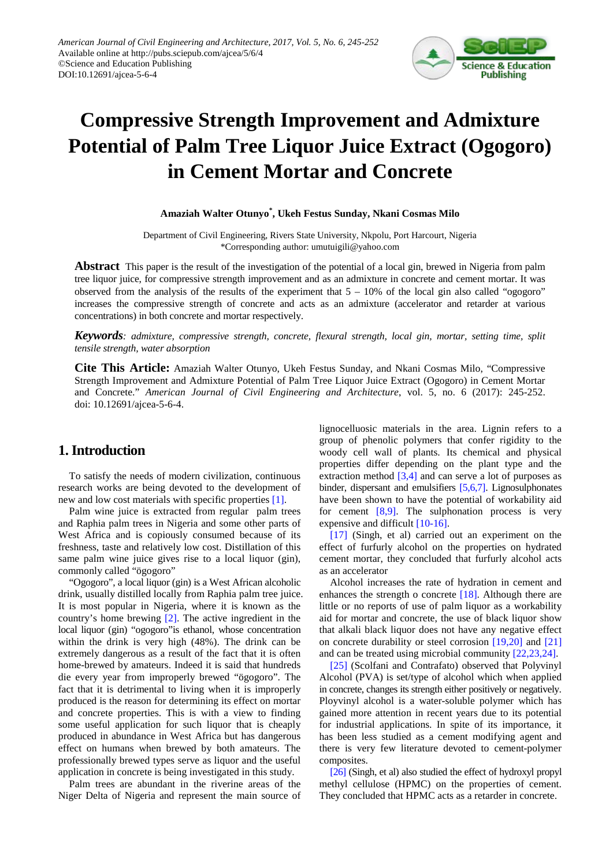

# **Compressive Strength Improvement and Admixture Potential of Palm Tree Liquor Juice Extract (Ogogoro) in Cement Mortar and Concrete**

**Amaziah Walter Otunyo\* , Ukeh Festus Sunday, Nkani Cosmas Milo**

Department of Civil Engineering, Rivers State University, Nkpolu, Port Harcourt, Nigeria \*Corresponding author: umutuigili@yahoo.com

**Abstract** This paper is the result of the investigation of the potential of a local gin, brewed in Nigeria from palm tree liquor juice, for compressive strength improvement and as an admixture in concrete and cement mortar. It was observed from the analysis of the results of the experiment that  $5 - 10\%$  of the local gin also called "ogogoro" increases the compressive strength of concrete and acts as an admixture (accelerator and retarder at various concentrations) in both concrete and mortar respectively.

*Keywords: admixture, compressive strength, concrete, flexural strength, local gin, mortar, setting time, split tensile strength, water absorption*

**Cite This Article:** Amaziah Walter Otunyo, Ukeh Festus Sunday, and Nkani Cosmas Milo, "Compressive Strength Improvement and Admixture Potential of Palm Tree Liquor Juice Extract (Ogogoro) in Cement Mortar and Concrete." *American Journal of Civil Engineering and Architecture*, vol. 5, no. 6 (2017): 245-252. doi: 10.12691/ajcea-5-6-4.

# **1. Introduction**

To satisfy the needs of modern civilization, continuous research works are being devoted to the development of new and low cost materials with specific properties [\[1\].](#page-6-0)

Palm wine juice is extracted from regular palm trees and Raphia palm trees in Nigeria and some other parts of West Africa and is copiously consumed because of its freshness, taste and relatively low cost. Distillation of this same palm wine juice gives rise to a local liquor (gin), commonly called "ögogoro"

"Ogogoro", a local liquor (gin) is a West African alcoholic drink, usually distilled locally from Raphia palm tree juice. It is most popular in Nigeria, where it is known as the country's home brewing [\[2\].](#page-6-1) The active ingredient in the local liquor (gin) "ogogoro"is ethanol, whose concentration within the drink is very high (48%). The drink can be extremely dangerous as a result of the fact that it is often home-brewed by amateurs. Indeed it is said that hundreds die every year from improperly brewed "ögogoro". The fact that it is detrimental to living when it is improperly produced is the reason for determining its effect on mortar and concrete properties. This is with a view to finding some useful application for such liquor that is cheaply produced in abundance in West Africa but has dangerous effect on humans when brewed by both amateurs. The professionally brewed types serve as liquor and the useful application in concrete is being investigated in this study.

Palm trees are abundant in the riverine areas of the Niger Delta of Nigeria and represent the main source of lignocelluosic materials in the area. Lignin refers to a group of phenolic polymers that confer rigidity to the woody cell wall of plants. Its chemical and physical properties differ depending on the plant type and the extraction method  $[3,4]$  and can serve a lot of purposes as binder, dispersant and emulsifiers [\[5,6,7\].](#page-6-3) Lignosulphonates have been shown to have the potential of workability aid for cement  $[8,9]$ . The sulphonation process is very expensive and difficult [\[10-16\].](#page-6-5)

[\[17\]](#page-7-0) (Singh, et al) carried out an experiment on the effect of furfurly alcohol on the properties on hydrated cement mortar, they concluded that furfurly alcohol acts as an accelerator

Alcohol increases the rate of hydration in cement and enhances the strength o concrete [\[18\].](#page-7-1) Although there are little or no reports of use of palm liquor as a workability aid for mortar and concrete, the use of black liquor show that alkali black liquor does not have any negative effect on concrete durability or steel corrosion [\[19,20\]](#page-7-2) and [\[21\]](#page-7-3) and can be treated using microbial community [\[22,23,24\].](#page-7-4)

[\[25\]](#page-7-5) (Scolfani and Contrafato) observed that Polyvinyl Alcohol (PVA) is set/type of alcohol which when applied in concrete, changes its strength either positively or negatively. Ployvinyl alcohol is a water-soluble polymer which has gained more attention in recent years due to its potential for industrial applications. In spite of its importance, it has been less studied as a cement modifying agent and there is very few literature devoted to cement-polymer composites.

[\[26\]](#page-7-6) (Singh, et al) also studied the effect of hydroxyl propyl methyl cellulose (HPMC) on the properties of cement. They concluded that HPMC acts as a retarder in concrete.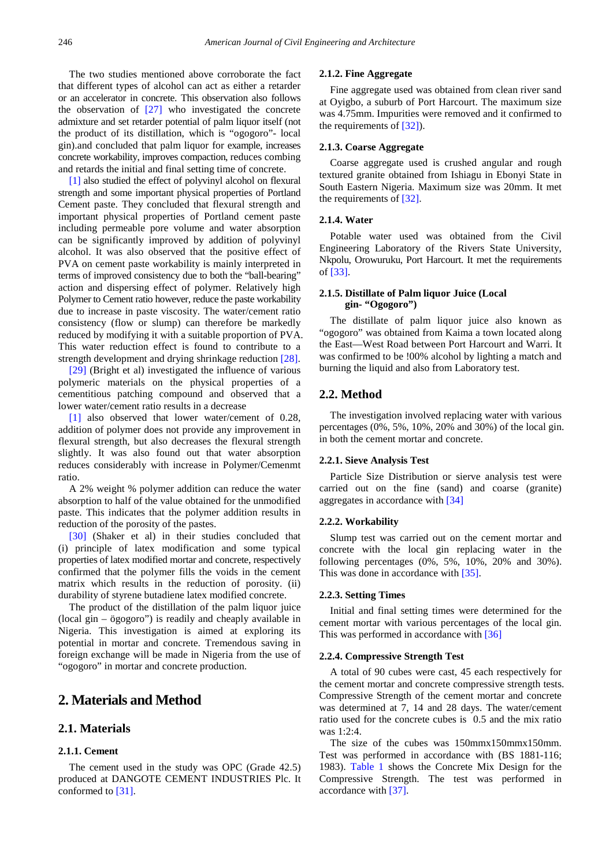The two studies mentioned above corroborate the fact that different types of alcohol can act as either a retarder or an accelerator in concrete. This observation also follows the observation of [\[27\]](#page-7-7) who investigated the concrete admixture and set retarder potential of palm liquor itself (not the product of its distillation, which is "ogogoro"- local gin).and concluded that palm liquor for example, increases concrete workability, improves compaction, reduces combing and retards the initial and final setting time of concrete.

[\[1\]](#page-6-0) also studied the effect of polyvinyl alcohol on flexural strength and some important physical properties of Portland Cement paste. They concluded that flexural strength and important physical properties of Portland cement paste including permeable pore volume and water absorption can be significantly improved by addition of polyvinyl alcohol. It was also observed that the positive effect of PVA on cement paste workability is mainly interpreted in terms of improved consistency due to both the "ball-bearing" action and dispersing effect of polymer. Relatively high Polymer to Cement ratio however, reduce the paste workability due to increase in paste viscosity. The water/cement ratio consistency (flow or slump) can therefore be markedly reduced by modifying it with a suitable proportion of PVA. This water reduction effect is found to contribute to a strength development and drying shrinkage reduction [\[28\].](#page-7-8)

[\[29\]](#page-7-9) (Bright et al) investigated the influence of various polymeric materials on the physical properties of a cementitious patching compound and observed that a lower water/cement ratio results in a decrease

[\[1\]](#page-6-0) also observed that lower water/cement of 0.28, addition of polymer does not provide any improvement in flexural strength, but also decreases the flexural strength slightly. It was also found out that water absorption reduces considerably with increase in Polymer/Cemenmt ratio.

A 2% weight % polymer addition can reduce the water absorption to half of the value obtained for the unmodified paste. This indicates that the polymer addition results in reduction of the porosity of the pastes.

[\[30\]](#page-7-10) (Shaker et al) in their studies concluded that (i) principle of latex modification and some typical properties of latex modified mortar and concrete, respectively confirmed that the polymer fills the voids in the cement matrix which results in the reduction of porosity. (ii) durability of styrene butadiene latex modified concrete.

The product of the distillation of the palm liquor juice (local gin – ögogoro") is readily and cheaply available in Nigeria. This investigation is aimed at exploring its potential in mortar and concrete. Tremendous saving in foreign exchange will be made in Nigeria from the use of "ogogoro" in mortar and concrete production.

# **2. Materials and Method**

## **2.1. Materials**

## **2.1.1. Cement**

The cement used in the study was OPC (Grade 42.5) produced at DANGOTE CEMENT INDUSTRIES Plc. It conformed to [\[31\].](#page-7-11)

#### **2.1.2. Fine Aggregate**

Fine aggregate used was obtained from clean river sand at Oyigbo, a suburb of Port Harcourt. The maximum size was 4.75mm. Impurities were removed and it confirmed to the requirements of [\[32\]\)](#page-7-12).

## **2.1.3. Coarse Aggregate**

Coarse aggregate used is crushed angular and rough textured granite obtained from Ishiagu in Ebonyi State in South Eastern Nigeria. Maximum size was 20mm. It met the requirements of [\[32\].](#page-7-12)

## **2.1.4. Water**

Potable water used was obtained from the Civil Engineering Laboratory of the Rivers State University, Nkpolu, Orowuruku, Port Harcourt. It met the requirements of [\[33\].](#page-7-13)

## **2.1.5. Distillate of Palm liquor Juice (Local gin- "Ogogoro")**

The distillate of palm liquor juice also known as "ogogoro" was obtained from Kaima a town located along the East—West Road between Port Harcourt and Warri. It was confirmed to be !00% alcohol by lighting a match and burning the liquid and also from Laboratory test.

## **2.2. Method**

The investigation involved replacing water with various percentages (0%, 5%, 10%, 20% and 30%) of the local gin. in both the cement mortar and concrete.

## **2.2.1. Sieve Analysis Test**

Particle Size Distribution or sierve analysis test were carried out on the fine (sand) and coarse (granite) aggregates in accordance wit[h \[34\]](#page-7-14)

## **2.2.2. Workability**

Slump test was carried out on the cement mortar and concrete with the local gin replacing water in the following percentages (0%, 5%, 10%, 20% and 30%). This was done in accordance with [\[35\].](#page-7-15)

## **2.2.3. Setting Times**

Initial and final setting times were determined for the cement mortar with various percentages of the local gin. This was performed in accordance wit[h \[36\]](#page-7-16)

#### **2.2.4. Compressive Strength Test**

A total of 90 cubes were cast, 45 each respectively for the cement mortar and concrete compressive strength tests. Compressive Strength of the cement mortar and concrete was determined at 7, 14 and 28 days. The water/cement ratio used for the concrete cubes is 0.5 and the mix ratio was  $1:2:4$ .

The size of the cubes was 150mmx150mmx150mm. Test was performed in accordance with (BS 1881-116; 1983). [Table 1](#page-2-0) shows the Concrete Mix Design for the Compressive Strength. The test was performed in accordance with [\[37\].](#page-7-17)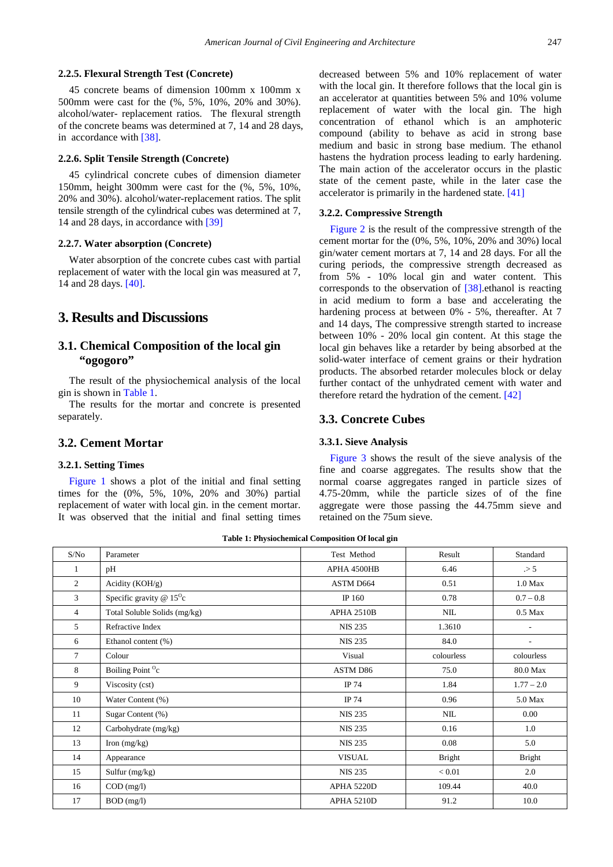#### **2.2.5. Flexural Strength Test (Concrete)**

45 concrete beams of dimension 100mm x 100mm x 500mm were cast for the (%, 5%, 10%, 20% and 30%). alcohol/water- replacement ratios. The flexural strength of the concrete beams was determined at 7, 14 and 28 days, in accordance with [\[38\].](#page-7-18)

## **2.2.6. Split Tensile Strength (Concrete)**

45 cylindrical concrete cubes of dimension diameter 150mm, height 300mm were cast for the (%, 5%, 10%, 20% and 30%). alcohol/water-replacement ratios. The split tensile strength of the cylindrical cubes was determined at 7, 14 and 28 days, in accordance with [\[39\]](#page-7-19)

## **2.2.7. Water absorption (Concrete)**

Water absorption of the concrete cubes cast with partial replacement of water with the local gin was measured at 7, 14 and 28 days. [\[40\].](#page-7-20)

## **3. Results and Discussions**

# **3.1. Chemical Composition of the local gin "ogogoro"**

The result of the physiochemical analysis of the local gin is shown in [Table 1.](#page-2-0)

The results for the mortar and concrete is presented separately.

## **3.2. Cement Mortar**

## **3.2.1. Setting Times**

[Figure 1](#page-3-0) shows a plot of the initial and final setting times for the (0%, 5%, 10%, 20% and 30%) partial replacement of water with local gin. in the cement mortar. It was observed that the initial and final setting times decreased between 5% and 10% replacement of water with the local gin. It therefore follows that the local gin is an accelerator at quantities between 5% and 10% volume replacement of water with the local gin. The high concentration of ethanol which is an amphoteric compound (ability to behave as acid in strong base medium and basic in strong base medium. The ethanol hastens the hydration process leading to early hardening. The main action of the accelerator occurs in the plastic state of the cement paste, while in the later case the accelerator is primarily in the hardened state. [\[41\]](#page-7-21)

## **3.2.2. Compressive Strength**

[Figure 2](#page-3-1) is the result of the compressive strength of the cement mortar for the (0%, 5%, 10%, 20% and 30%) local gin/water cement mortars at 7, 14 and 28 days. For all the curing periods, the compressive strength decreased as from 5% - 10% local gin and water content. This corresponds to the observation of [\[38\].](#page-7-18)ethanol is reacting in acid medium to form a base and accelerating the hardening process at between 0% - 5%, thereafter. At 7 and 14 days, The compressive strength started to increase between 10% - 20% local gin content. At this stage the local gin behaves like a retarder by being absorbed at the solid-water interface of cement grains or their hydration products. The absorbed retarder molecules block or delay further contact of the unhydrated cement with water and therefore retard the hydration of the cement[. \[42\]](#page-7-22)

## **3.3. Concrete Cubes**

#### **3.3.1. Sieve Analysis**

[Figure 3](#page-3-2) shows the result of the sieve analysis of the fine and coarse aggregates. The results show that the normal coarse aggregates ranged in particle sizes of 4.75-20mm, while the particle sizes of of the fine aggregate were those passing the 44.75mm sieve and retained on the 75um sieve.

**Table 1: Physiochemical Composition Of local gin**

<span id="page-2-0"></span>

| S/No           | Parameter                              | Test Method    | Result        | Standard      |
|----------------|----------------------------------------|----------------|---------------|---------------|
| 1              | pH                                     | APHA 4500HB    | 6.46          | $\geq 5$      |
| $\mathfrak{2}$ | Acidity $(KOH/g)$                      | ASTM D664      | 0.51          | 1.0 Max       |
| 3              | Specific gravity $@ 15$ <sup>o</sup> c | IP 160         | 0.78          | $0.7 - 0.8$   |
| $\overline{4}$ | Total Soluble Solids (mg/kg)           | APHA 2510B     | NIL           | $0.5$ Max     |
| 5              | Refractive Index                       | <b>NIS 235</b> | 1.3610        | L,            |
| 6              | Ethanol content (%)                    | <b>NIS 235</b> | 84.0          |               |
| 7              | Colour                                 | Visual         | colourless    | colourless    |
| 8              | Boiling Point <sup>O</sup> c           | ASTM D86       | 75.0          | 80.0 Max      |
| 9              | Viscosity (cst)                        | IP 74          | 1.84          | $1.77 - 2.0$  |
| 10             | Water Content (%)                      | IP 74          | 0.96          | 5.0 Max       |
| 11             | Sugar Content (%)                      | <b>NIS 235</b> | NIL           | $0.00\,$      |
| 12             | Carbohydrate (mg/kg)                   | <b>NIS 235</b> | 0.16          | 1.0           |
| 13             | Iron $(mg/kg)$                         | <b>NIS 235</b> | 0.08          | 5.0           |
| 14             | Appearance                             | <b>VISUAL</b>  | <b>Bright</b> | <b>Bright</b> |
| 15             | Sulfur (mg/kg)                         | <b>NIS 235</b> | < 0.01        | 2.0           |
| 16             | $COD$ (mg/l)                           | APHA 5220D     | 109.44        | 40.0          |
| 17             | $BOD$ (mg/l)                           | APHA 5210D     | 91.2          | 10.0          |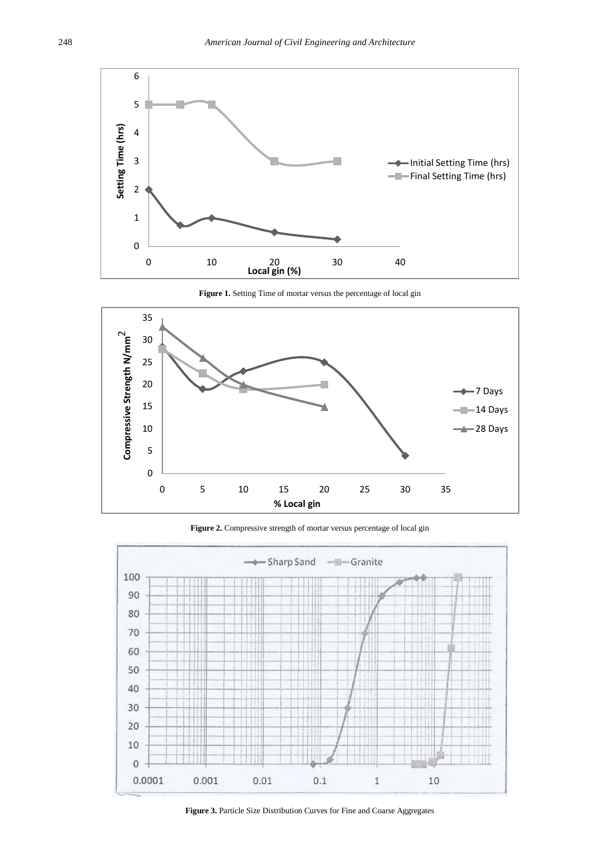<span id="page-3-0"></span>

**Figure 1.** Setting Time of mortar versus the percentage of local gin

<span id="page-3-1"></span>

**Figure 2.** Compressive strength of mortar versus percentage of local gin

<span id="page-3-2"></span>

**Figure 3.** Particle Size Distribution Curves for Fine and Coarse Aggregates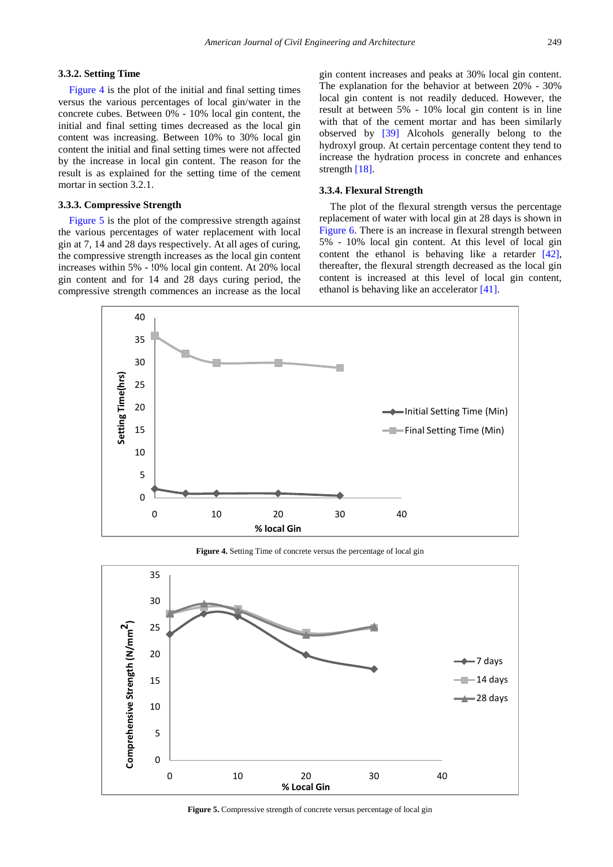## **3.3.2. Setting Time**

[Figure 4](#page-4-0) is the plot of the initial and final setting times versus the various percentages of local gin/water in the concrete cubes. Between 0% - 10% local gin content, the initial and final setting times decreased as the local gin content was increasing. Between 10% to 30% local gin content the initial and final setting times were not affected by the increase in local gin content. The reason for the result is as explained for the setting time of the cement mortar in section 3.2.1.

## **3.3.3. Compressive Strength**

[Figure 5](#page-4-1) is the plot of the compressive strength against the various percentages of water replacement with local gin at 7, 14 and 28 days respectively. At all ages of curing, the compressive strength increases as the local gin content increases within 5% - !0% local gin content. At 20% local gin content and for 14 and 28 days curing period, the compressive strength commences an increase as the local gin content increases and peaks at 30% local gin content. The explanation for the behavior at between 20% - 30% local gin content is not readily deduced. However, the result at between 5% - 10% local gin content is in line with that of the cement mortar and has been similarly observed by [\[39\]](#page-7-19) Alcohols generally belong to the hydroxyl group. At certain percentage content they tend to increase the hydration process in concrete and enhances strength [\[18\].](#page-7-1)

## **3.3.4. Flexural Strength**

The plot of the flexural strength versus the percentage replacement of water with local gin at 28 days is shown in [Figure 6.](#page-5-0) There is an increase in flexural strength between 5% - 10% local gin content. At this level of local gin content the ethanol is behaving like a retarder [\[42\],](#page-7-22) thereafter, the flexural strength decreased as the local gin content is increased at this level of local gin content, ethanol is behaving like an accelerator [\[41\].](#page-7-21)

<span id="page-4-0"></span>

**Figure 4.** Setting Time of concrete versus the percentage of local gin

<span id="page-4-1"></span>

**Figure 5.** Compressive strength of concrete versus percentage of local gin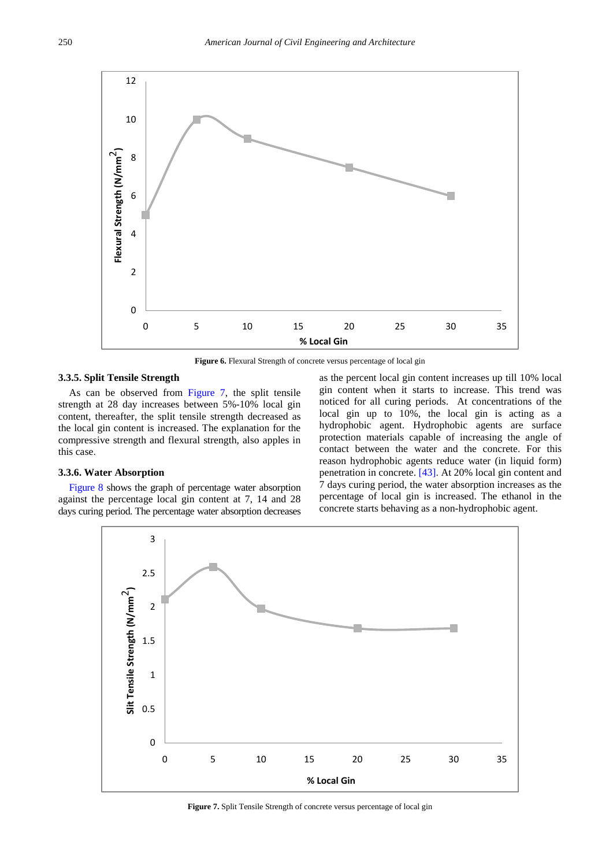<span id="page-5-0"></span>

**Figure 6.** Flexural Strength of concrete versus percentage of local gin

## **3.3.5. Split Tensile Strength**

As can be observed from [Figure 7,](#page-5-1) the split tensile strength at 28 day increases between 5%-10% local gin content, thereafter, the split tensile strength decreased as the local gin content is increased. The explanation for the compressive strength and flexural strength, also apples in this case.

## **3.3.6. Water Absorption**

<span id="page-5-1"></span>[Figure 8](#page-6-6) shows the graph of percentage water absorption against the percentage local gin content at 7, 14 and 28 days curing period. The percentage water absorption decreases as the percent local gin content increases up till 10% local gin content when it starts to increase. This trend was noticed for all curing periods. At concentrations of the local gin up to 10%, the local gin is acting as a hydrophobic agent. Hydrophobic agents are surface protection materials capable of increasing the angle of contact between the water and the concrete. For this reason hydrophobic agents reduce water (in liquid form) penetration in concrete. [\[43\].](#page-7-23) At 20% local gin content and 7 days curing period, the water absorption increases as the percentage of local gin is increased. The ethanol in the concrete starts behaving as a non-hydrophobic agent.



**Figure 7.** Split Tensile Strength of concrete versus percentage of local gin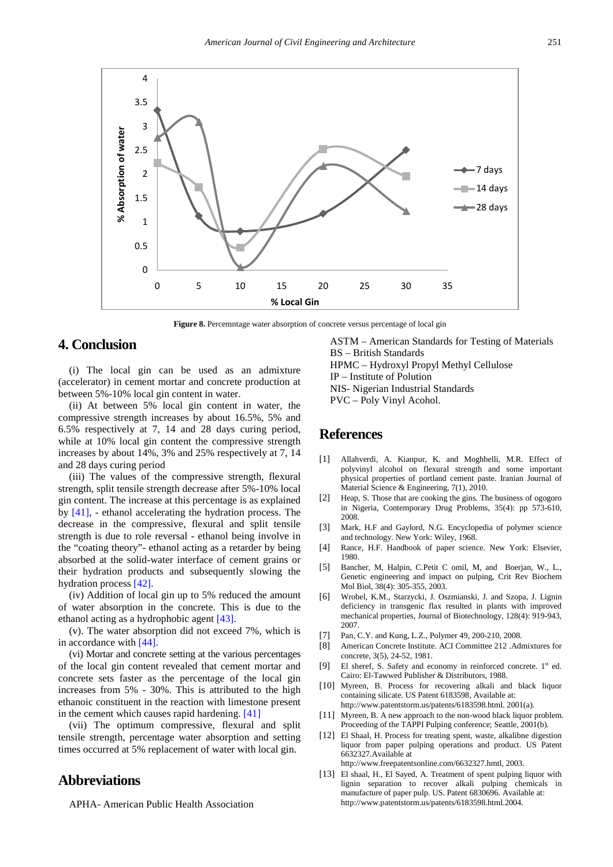<span id="page-6-6"></span>

**Figure 8.** Percemntage water absorption of concrete versus percentage of local gin

## **4. Conclusion**

(i) The local gin can be used as an admixture (accelerator) in cement mortar and concrete production at between 5%-10% local gin content in water.

(ii) At between 5% local gin content in water, the compressive strength increases by about 16.5%, 5% and 6.5% respectively at 7, 14 and 28 days curing period, while at 10% local gin content the compressive strength increases by about 14%, 3% and 25% respectively at 7, 14 and 28 days curing period

(iii) The values of the compressive strength, flexural strength, split tensile strength decrease after 5%-10% local gin content. The increase at this percentage is as explained by [\[41\],](#page-7-21) - ethanol accelerating the hydration process. The decrease in the compressive, flexural and split tensile strength is due to role reversal - ethanol being involve in the "coating theory"- ethanol acting as a retarder by being absorbed at the solid-water interface of cement grains or their hydration products and subsequently slowing the hydration process [\[42\].](#page-7-22)

(iv) Addition of local gin up to 5% reduced the amount of water absorption in the concrete. This is due to the ethanol acting as a hydrophobic agent [\[43\].](#page-7-23)

(v). The water absorption did not exceed 7%, which is in accordance wit[h \[44\].](#page-7-24) 

(vi) Mortar and concrete setting at the various percentages of the local gin content revealed that cement mortar and concrete sets faster as the percentage of the local gin increases from 5% - 30%. This is attributed to the high ethanoic constituent in the reaction with limestone present in the cement which causes rapid hardening. [\[41\]](#page-7-21)

(vii) The optimum compressive, flexural and split tensile strength, percentage water absorption and setting times occurred at 5% replacement of water with local gin.

# **Abbreviations**

APHA- American Public Health Association

ASTM – American Standards for Testing of Materials BS – British Standards HPMC – Hydroxyl Propyl Methyl Cellulose IP – Institute of Polution NIS- Nigerian Industrial Standards PVC – Poly Vinyl Acohol.

# **References**

- <span id="page-6-0"></span>[1] Allahverdi, A. Kianpur, K. and Moghbelli, M.R. Effect of polyvinyl alcohol on flexural strength and some important physical properties of portland cement paste. Iranian Journal of Material Science & Engineering, 7(1), 2010.
- <span id="page-6-1"></span>[2] Heap, S. Those that are cooking the gins. The business of ogogoro in Nigeria, Contemporary Drug Problems, 35(4): pp 573-610, 2008.
- <span id="page-6-2"></span>[3] Mark, H.F and Gaylord, N.G. Encyclopedia of polymer science and technology. New York: Wiley, 1968.
- [4] Rance, H.F. Handbook of paper science. New York: Elsevier, 1980.
- <span id="page-6-3"></span>[5] Bancher, M, Halpin, C.Petit C omil, M, and Boerjan, W., L., Genetic engineering and impact on pulping, Crit Rev Biochem Mol Biol, 38(4): 305-355, 2003.
- [6] Wrobel, K.M., Starzycki, J. Oszmianski, J. and Szopa, J. Lignin deficiency in transgenic flax resulted in plants with improved mechanical properties, Journal of Biotechnology, 128(4): 919-943, 2007.
- [7] Pan, C.Y. and Kung, L.Z., Polymer 49, 200-210, 2008.
- <span id="page-6-4"></span>[8] American Concrete Institute. ACI Committee 212 .Admixtures for concrete, 3(5), 24-52, 1981.
- [9] El sheref, S. Safety and economy in reinforced concrete. 1<sup>st</sup> ed. Cairo: El-Tawwed Publisher & Distributors, 1988.
- <span id="page-6-5"></span>[10] Myreen, B. Process for recovering alkali and black liquor containing silicate. US Patent 6183598, Available at: http://www.patentstorm.us/patents/6183598.html. 2001(a).
- [11] Myreen, B. A new approach to the non-wood black liquor problem. Proceeding of the TAPPI Pulping conference; Seattle, 2001(b).
- [12] El Shaal, H. Process for treating spent, waste, alkalibne digestion liquor from paper pulping operations and product. US Patent 6632327.Available at

http://www.freepatentsonline.com/6632327.hmtl, 2003.

[13] El shaal, H., El Sayed, A. Treatment of spent pulping liquor with lignin separation to recover alkali pulping chemicals in manufacture of paper pulp. US. Patent 6830696. Available at: http://www.patentstorm.us/patents/6183598.html.2004.